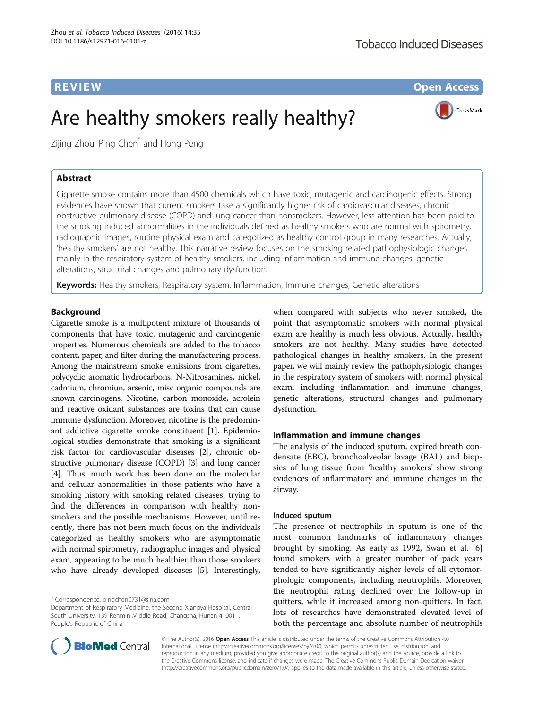**REVIEW CONSTRUCTION CONSTRUCTION CONSTRUCTS** 

# Are healthy smokers really healthy?



Zijing Zhou, Ping Chen\* and Hong Peng

# Abstract

Cigarette smoke contains more than 4500 chemicals which have toxic, mutagenic and carcinogenic effects. Strong evidences have shown that current smokers take a significantly higher risk of cardiovascular diseases, chronic obstructive pulmonary disease (COPD) and lung cancer than nonsmokers. However, less attention has been paid to the smoking induced abnormalities in the individuals defined as healthy smokers who are normal with spirometry, radiographic images, routine physical exam and categorized as healthy control group in many researches. Actually, 'healthy smokers' are not healthy. This narrative review focuses on the smoking related pathophysiologic changes mainly in the respiratory system of healthy smokers, including inflammation and immune changes, genetic alterations, structural changes and pulmonary dysfunction.

Keywords: Healthy smokers, Respiratory system, Inflammation, Immune changes, Genetic alterations

# Background

Cigarette smoke is a multipotent mixture of thousands of components that have toxic, mutagenic and carcinogenic properties. Numerous chemicals are added to the tobacco content, paper, and filter during the manufacturing process. Among the mainstream smoke emissions from cigarettes, polycyclic aromatic hydrocarbons, N-Nitrosamines, nickel, cadmium, chromiun, arsenic, misc organic compounds are known carcinogens. Nicotine, carbon monoxide, acrolein and reactive oxidant substances are toxins that can cause immune dysfunction. Moreover, nicotine is the predominant addictive cigarette smoke constituent [[1](#page-8-0)]. Epidemiological studies demonstrate that smoking is a significant risk factor for cardiovascular diseases [[2](#page-8-0)], chronic obstructive pulmonary disease (COPD) [\[3\]](#page-8-0) and lung cancer [[4\]](#page-8-0). Thus, much work has been done on the molecular and cellular abnormalities in those patients who have a smoking history with smoking related diseases, trying to find the differences in comparison with healthy nonsmokers and the possible mechanisms. However, until recently, there has not been much focus on the individuals categorized as healthy smokers who are asymptomatic with normal spirometry, radiographic images and physical exam, appearing to be much healthier than those smokers who have already developed diseases [\[5](#page-8-0)]. Interestingly,

when compared with subjects who never smoked, the point that asymptomatic smokers with normal physical exam are healthy is much less obvious. Actually, healthy smokers are not healthy. Many studies have detected pathological changes in healthy smokers. In the present paper, we will mainly review the pathophysiologic changes in the respiratory system of smokers with normal physical exam, including inflammation and immune changes, genetic alterations, structural changes and pulmonary dysfunction.

# Inflammation and immune changes

The analysis of the induced sputum, expired breath condensate (EBC), bronchoalveolar lavage (BAL) and biopsies of lung tissue from 'healthy smokers' show strong evidences of inflammatory and immune changes in the airway.

### Induced sputum

The presence of neutrophils in sputum is one of the most common landmarks of inflammatory changes brought by smoking. As early as 1992, Swan et al. [\[6](#page-8-0)] found smokers with a greater number of pack years tended to have significantly higher levels of all cytomorphologic components, including neutrophils. Moreover, the neutrophil rating declined over the follow-up in quitters, while it increased among non-quitters. In fact, lots of researches have demonstrated elevated level of both the percentage and absolute number of neutrophils



© The Author(s). 2016 Open Access This article is distributed under the terms of the Creative Commons Attribution 4.0 International License [\(http://creativecommons.org/licenses/by/4.0/](http://creativecommons.org/licenses/by/4.0/)), which permits unrestricted use, distribution, and reproduction in any medium, provided you give appropriate credit to the original author(s) and the source, provide a link to the Creative Commons license, and indicate if changes were made. The Creative Commons Public Domain Dedication waiver [\(http://creativecommons.org/publicdomain/zero/1.0/](http://creativecommons.org/publicdomain/zero/1.0/)) applies to the data made available in this article, unless otherwise stated.

<sup>\*</sup> Correspondence: [pingchen0731@sina.com](mailto:pingchen0731@sina.com)

Department of Respiratory Medicine, the Second Xiangya Hospital, Central South University, 139 Renmin Middle Road, Changsha, Hunan 410011, People's Republic of China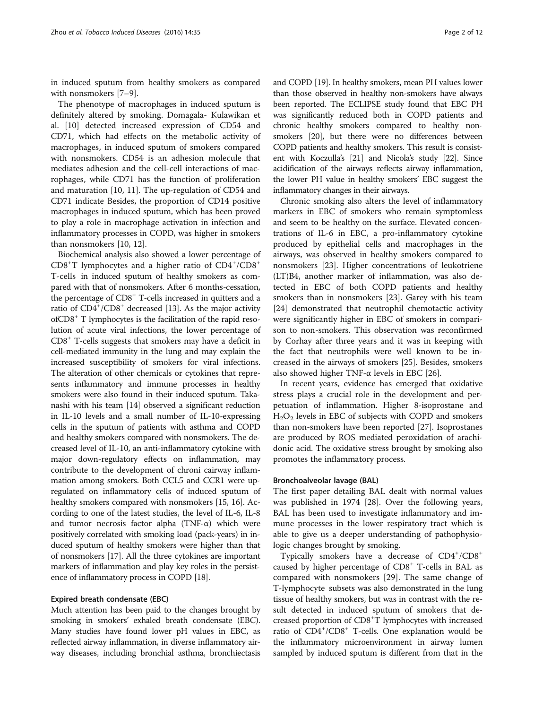in induced sputum from healthy smokers as compared with nonsmokers [\[7](#page-8-0)–[9](#page-8-0)].

The phenotype of macrophages in induced sputum is definitely altered by smoking. Domagala- Kulawikan et al. [[10](#page-8-0)] detected increased expression of CD54 and CD71, which had effects on the metabolic activity of macrophages, in induced sputum of smokers compared with nonsmokers. CD54 is an adhesion molecule that mediates adhesion and the cell-cell interactions of macrophages, while CD71 has the function of proliferation and maturation [[10](#page-8-0), [11](#page-8-0)]. The up-regulation of CD54 and CD71 indicate Besides, the proportion of CD14 positive macrophages in induced sputum, which has been proved to play a role in macrophage activation in infection and inflammatory processes in COPD, was higher in smokers than nonsmokers [[10, 12\]](#page-8-0).

Biochemical analysis also showed a lower percentage of CD8<sup>+</sup>T lymphocytes and a higher ratio of CD4<sup>+</sup>/CD8<sup>+</sup> T-cells in induced sputum of healthy smokers as compared with that of nonsmokers. After 6 months-cessation, the percentage of CD8+ T-cells increased in quitters and a ratio of CD4<sup>+</sup>/CD8<sup>+</sup> decreased [\[13](#page-8-0)]. As the major activity ofCD8+ T lymphocytes is the facilitation of the rapid resolution of acute viral infections, the lower percentage of CD8+ T-cells suggests that smokers may have a deficit in cell-mediated immunity in the lung and may explain the increased susceptibility of smokers for viral infections. The alteration of other chemicals or cytokines that represents inflammatory and immune processes in healthy smokers were also found in their induced sputum. Takanashi with his team [[14\]](#page-8-0) observed a significant reduction in IL-10 levels and a small number of IL-10-expressing cells in the sputum of patients with asthma and COPD and healthy smokers compared with nonsmokers. The decreased level of IL-10, an anti-inflammatory cytokine with major down-regulatory effects on inflammation, may contribute to the development of chroni cairway inflammation among smokers. Both CCL5 and CCR1 were upregulated on inflammatory cells of induced sputum of healthy smokers compared with nonsmokers [\[15](#page-8-0), [16\]](#page-8-0). According to one of the latest studies, the level of IL-6, IL-8 and tumor necrosis factor alpha (TNF- $\alpha$ ) which were positively correlated with smoking load (pack-years) in induced sputum of healthy smokers were higher than that of nonsmokers [[17](#page-8-0)]. All the three cytokines are important markers of inflammation and play key roles in the persistence of inflammatory process in COPD [[18](#page-8-0)].

#### Expired breath condensate (EBC)

Much attention has been paid to the changes brought by smoking in smokers' exhaled breath condensate (EBC). Many studies have found lower pH values in EBC, as reflected airway inflammation, in diverse inflammatory airway diseases, including bronchial asthma, bronchiectasis and COPD [[19](#page-8-0)]. In healthy smokers, mean PH values lower than those observed in healthy non-smokers have always been reported. The ECLIPSE study found that EBC PH was significantly reduced both in COPD patients and chronic healthy smokers compared to healthy nonsmokers [\[20\]](#page-8-0), but there were no differences between COPD patients and healthy smokers. This result is consistent with Koczulla's [\[21\]](#page-8-0) and Nicola's study [\[22\]](#page-8-0). Since acidification of the airways reflects airway inflammation, the lower PH value in healthy smokers' EBC suggest the inflammatory changes in their airways.

Chronic smoking also alters the level of inflammatory markers in EBC of smokers who remain symptomless and seem to be healthy on the surface. Elevated concentrations of IL-6 in EBC, a pro-inflammatory cytokine produced by epithelial cells and macrophages in the airways, was observed in healthy smokers compared to nonsmokers [\[23](#page-8-0)]. Higher concentrations of leukotriene (LT)B4, another marker of inflammation, was also detected in EBC of both COPD patients and healthy smokers than in nonsmokers [[23\]](#page-8-0). Garey with his team [[24\]](#page-8-0) demonstrated that neutrophil chemotactic activity were significantly higher in EBC of smokers in comparison to non-smokers. This observation was reconfirmed by Corhay after three years and it was in keeping with the fact that neutrophils were well known to be increased in the airways of smokers [[25\]](#page-8-0). Besides, smokers also showed higher TNF- $\alpha$  levels in EBC [[26](#page-8-0)].

In recent years, evidence has emerged that oxidative stress plays a crucial role in the development and perpetuation of inflammation. Higher 8-isoprostane and  $H<sub>2</sub>O<sub>2</sub>$  levels in EBC of subjects with COPD and smokers than non-smokers have been reported [[27\]](#page-8-0). Isoprostanes are produced by ROS mediated peroxidation of arachidonic acid. The oxidative stress brought by smoking also promotes the inflammatory process.

#### Bronchoalveolar lavage (BAL)

The first paper detailing BAL dealt with normal values was published in 1974 [[28\]](#page-8-0). Over the following years, BAL has been used to investigate inflammatory and immune processes in the lower respiratory tract which is able to give us a deeper understanding of pathophysiologic changes brought by smoking.

Typically smokers have a decrease of CD4+/CD8+ caused by higher percentage of CD8<sup>+</sup> T-cells in BAL as compared with nonsmokers [[29](#page-8-0)]. The same change of T-lymphocyte subsets was also demonstrated in the lung tissue of healthy smokers, but was in contrast with the result detected in induced sputum of smokers that decreased proportion of CD8+ T lymphocytes with increased ratio of CD4+ /CD8+ T-cells. One explanation would be the inflammatory microenvironment in airway lumen sampled by induced sputum is different from that in the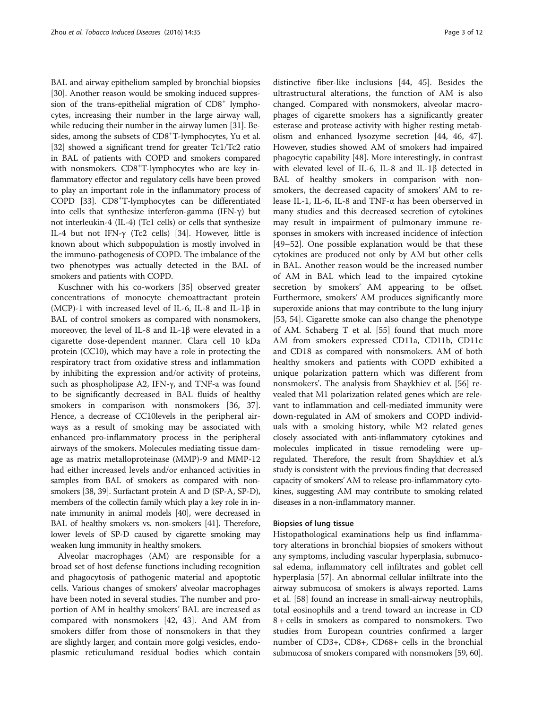BAL and airway epithelium sampled by bronchial biopsies [[30](#page-8-0)]. Another reason would be smoking induced suppression of the trans-epithelial migration of  $CD8<sup>+</sup>$  lymphocytes, increasing their number in the large airway wall, while reducing their number in the airway lumen [\[31](#page-8-0)]. Besides, among the subsets of CD8<sup>+</sup>T-lymphocytes, Yu et al. [[32](#page-8-0)] showed a significant trend for greater Tc1/Tc2 ratio in BAL of patients with COPD and smokers compared with nonsmokers. CD8<sup>+</sup>T-lymphocytes who are key inflammatory effector and regulatory cells have been proved to play an important role in the inflammatory process of COPD [[33](#page-8-0)]. CD8+ T-lymphocytes can be differentiated into cells that synthesize interferon-gamma (IFN-γ) but not interleukin-4 (IL-4) (Tc1 cells) or cells that synthesize IL-4 but not IFN-γ (Tc2 cells) [\[34\]](#page-8-0). However, little is known about which subpopulation is mostly involved in the immuno-pathogenesis of COPD. The imbalance of the two phenotypes was actually detected in the BAL of smokers and patients with COPD.

Kuschner with his co-workers [\[35](#page-8-0)] observed greater concentrations of monocyte chemoattractant protein (MCP)-1 with increased level of IL-6, IL-8 and IL-1β in BAL of control smokers as compared with nonsmokers, moreover, the level of IL-8 and IL-1β were elevated in a cigarette dose-dependent manner. Clara cell 10 kDa protein (CC10), which may have a role in protecting the respiratory tract from oxidative stress and inflammation by inhibiting the expression and/or activity of proteins, such as phospholipase A2, IFN-γ, and TNF-a was found to be significantly decreased in BAL fluids of healthy smokers in comparison with nonsmokers [[36, 37](#page-8-0)]. Hence, a decrease of CC10levels in the peripheral airways as a result of smoking may be associated with enhanced pro-inflammatory process in the peripheral airways of the smokers. Molecules mediating tissue damage as matrix metalloproteinase (MMP)-9 and MMP-12 had either increased levels and/or enhanced activities in samples from BAL of smokers as compared with nonsmokers [\[38](#page-8-0), [39\]](#page-8-0). Surfactant protein A and D (SP-A, SP-D), members of the collectin family which play a key role in innate immunity in animal models [\[40\]](#page-8-0), were decreased in BAL of healthy smokers vs. non-smokers [\[41\]](#page-8-0). Therefore, lower levels of SP-D caused by cigarette smoking may weaken lung immunity in healthy smokers.

Alveolar macrophages (AM) are responsible for a broad set of host defense functions including recognition and phagocytosis of pathogenic material and apoptotic cells. Various changes of smokers' alveolar macrophages have been noted in several studies. The number and proportion of AM in healthy smokers' BAL are increased as compared with nonsmokers [\[42, 43\]](#page-8-0). And AM from smokers differ from those of nonsmokers in that they are slightly larger, and contain more golgi vesicles, endoplasmic reticulumand residual bodies which contain

distinctive fiber-like inclusions [[44,](#page-8-0) [45\]](#page-9-0). Besides the ultrastructural alterations, the function of AM is also changed. Compared with nonsmokers, alveolar macrophages of cigarette smokers has a significantly greater esterase and protease activity with higher resting metabolism and enhanced lysozyme secretion [[44,](#page-8-0) [46](#page-9-0), [47](#page-9-0)]. However, studies showed AM of smokers had impaired phagocytic capability [\[48\]](#page-9-0). More interestingly, in contrast with elevated level of IL-6, IL-8 and IL-1β detected in BAL of healthy smokers in comparison with nonsmokers, the decreased capacity of smokers' AM to release IL-1, IL-6, IL-8 and TNF-α has been oberserved in many studies and this decreased secretion of cytokines may result in impairment of pulmonary immune responses in smokers with increased incidence of infection [[49](#page-9-0)–[52](#page-9-0)]. One possible explanation would be that these cytokines are produced not only by AM but other cells in BAL. Another reason would be the increased number of AM in BAL which lead to the impaired cytokine secretion by smokers' AM appearing to be offset. Furthermore, smokers' AM produces significantly more superoxide anions that may contribute to the lung injury [[53, 54\]](#page-9-0). Cigarette smoke can also change the phenotype of AM. Schaberg T et al. [\[55](#page-9-0)] found that much more AM from smokers expressed CD11a, CD11b, CD11c and CD18 as compared with nonsmokers. AM of both healthy smokers and patients with COPD exhibited a unique polarization pattern which was different from nonsmokers'. The analysis from Shaykhiev et al. [[56](#page-9-0)] revealed that M1 polarization related genes which are relevant to inflammation and cell-mediated immunity were down-regulated in AM of smokers and COPD individuals with a smoking history, while M2 related genes closely associated with anti-inflammatory cytokines and molecules implicated in tissue remodeling were upregulated. Therefore, the result from Shaykhiev et al.'s study is consistent with the previous finding that decreased capacity of smokers' AM to release pro-inflammatory cytokines, suggesting AM may contribute to smoking related diseases in a non-inflammatory manner.

# Biopsies of lung tissue

Histopathological examinations help us find inflammatory alterations in bronchial biopsies of smokers without any symptoms, including vascular hyperplasia, submucosal edema, inflammatory cell infiltrates and goblet cell hyperplasia [\[57](#page-9-0)]. An abnormal cellular infiltrate into the airway submucosa of smokers is always reported. Lams et al. [\[58\]](#page-9-0) found an increase in small-airway neutrophils, total eosinophils and a trend toward an increase in CD 8 + cells in smokers as compared to nonsmokers. Two studies from European countries confirmed a larger number of CD3+, CD8+, CD68+ cells in the bronchial submucosa of smokers compared with nonsmokers [\[59, 60](#page-9-0)].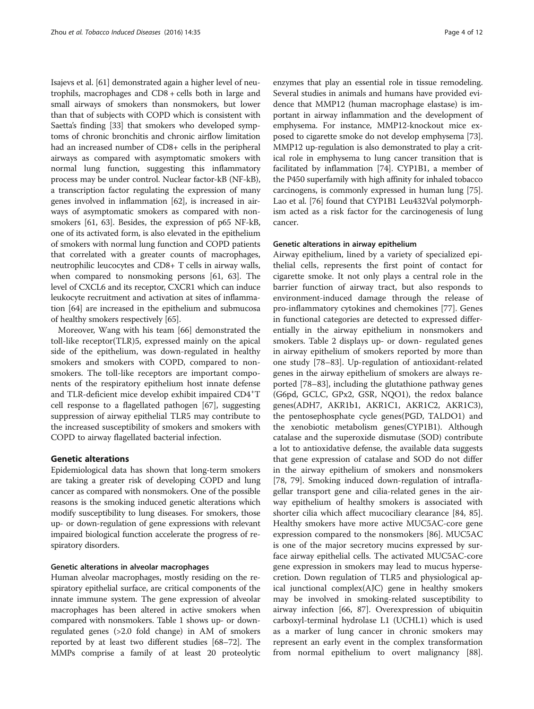Isajevs et al. [[61](#page-9-0)] demonstrated again a higher level of neutrophils, macrophages and CD8 + cells both in large and small airways of smokers than nonsmokers, but lower than that of subjects with COPD which is consistent with Saetta's finding [\[33\]](#page-8-0) that smokers who developed symptoms of chronic bronchitis and chronic airflow limitation had an increased number of CD8+ cells in the peripheral airways as compared with asymptomatic smokers with normal lung function, suggesting this inflammatory process may be under control. Nuclear factor-kB (NF-kB), a transcription factor regulating the expression of many genes involved in inflammation [[62](#page-9-0)], is increased in airways of asymptomatic smokers as compared with nonsmokers [\[61, 63\]](#page-9-0). Besides, the expression of p65 NF-kB, one of its activated form, is also elevated in the epithelium of smokers with normal lung function and COPD patients that correlated with a greater counts of macrophages, neutrophilic leucocytes and CD8+ T cells in airway walls, when compared to nonsmoking persons [\[61, 63\]](#page-9-0). The level of CXCL6 and its receptor, CXCR1 which can induce leukocyte recruitment and activation at sites of inflammation [\[64](#page-9-0)] are increased in the epithelium and submucosa of healthy smokers respectively [\[65\]](#page-9-0).

Moreover, Wang with his team [\[66](#page-9-0)] demonstrated the toll-like receptor(TLR)5, expressed mainly on the apical side of the epithelium, was down-regulated in healthy smokers and smokers with COPD, compared to nonsmokers. The toll-like receptors are important components of the respiratory epithelium host innate defense and TLR-deficient mice develop exhibit impaired CD4<sup>+</sup>T cell response to a flagellated pathogen [\[67](#page-9-0)], suggesting suppression of airway epithelial TLR5 may contribute to the increased susceptibility of smokers and smokers with COPD to airway flagellated bacterial infection.

# Genetic alterations

Epidemiological data has shown that long-term smokers are taking a greater risk of developing COPD and lung cancer as compared with nonsmokers. One of the possible reasons is the smoking induced genetic alterations which modify susceptibility to lung diseases. For smokers, those up- or down-regulation of gene expressions with relevant impaired biological function accelerate the progress of respiratory disorders.

# Genetic alterations in alveolar macrophages

Human alveolar macrophages, mostly residing on the respiratory epithelial surface, are critical components of the innate immune system. The gene expression of alveolar macrophages has been altered in active smokers when compared with nonsmokers. Table [1](#page-4-0) shows up- or downregulated genes (>2.0 fold change) in AM of smokers reported by at least two different studies [\[68](#page-9-0)–[72\]](#page-9-0). The MMPs comprise a family of at least 20 proteolytic enzymes that play an essential role in tissue remodeling. Several studies in animals and humans have provided evidence that MMP12 (human macrophage elastase) is important in airway inflammation and the development of emphysema. For instance, MMP12-knockout mice exposed to cigarette smoke do not develop emphysema [[73](#page-9-0)]. MMP12 up-regulation is also demonstrated to play a critical role in emphysema to lung cancer transition that is facilitated by inflammation [[74](#page-9-0)]. CYP1B1, a member of the P450 superfamily with high affinity for inhaled tobacco carcinogens, is commonly expressed in human lung [[75](#page-9-0)]. Lao et al. [\[76\]](#page-9-0) found that CYP1B1 Leu432Val polymorphism acted as a risk factor for the carcinogenesis of lung cancer.

# Genetic alterations in airway epithelium

Airway epithelium, lined by a variety of specialized epithelial cells, represents the first point of contact for cigarette smoke. It not only plays a central role in the barrier function of airway tract, but also responds to environment-induced damage through the release of pro-inflammatory cytokines and chemokines [[77\]](#page-9-0). Genes in functional categories are detected to expressed differentially in the airway epithelium in nonsmokers and smokers. Table [2](#page-5-0) displays up- or down- regulated genes in airway epithelium of smokers reported by more than one study [[78](#page-9-0)–[83](#page-9-0)]. Up-regulation of antioxidant-related genes in the airway epithelium of smokers are always reported [[78](#page-9-0)–[83\]](#page-9-0), including the glutathione pathway genes (G6pd, GCLC, GPx2, GSR, NQO1), the redox balance genes(ADH7, AKR1b1, AKR1C1, AKR1C2, AKR1C3), the pentosephosphate cycle genes(PGD, TALDO1) and the xenobiotic metabolism genes(CYP1B1). Although catalase and the superoxide dismutase (SOD) contribute a lot to antioxidative defense, the available data suggests that gene expression of catalase and SOD do not differ in the airway epithelium of smokers and nonsmokers [[78, 79](#page-9-0)]. Smoking induced down-regulation of intraflagellar transport gene and cilia-related genes in the airway epithelium of healthy smokers is associated with shorter cilia which affect mucociliary clearance [[84, 85](#page-9-0)]. Healthy smokers have more active MUC5AC-core gene expression compared to the nonsmokers [[86\]](#page-10-0). MUC5AC is one of the major secretory mucins expressed by surface airway epithelial cells. The activated MUC5AC-core gene expression in smokers may lead to mucus hypersecretion. Down regulation of TLR5 and physiological apical junctional complex(AJC) gene in healthy smokers may be involved in smoking-related susceptibility to airway infection [\[66,](#page-9-0) [87](#page-10-0)]. Overexpression of ubiquitin carboxyl-terminal hydrolase L1 (UCHL1) which is used as a marker of lung cancer in chronic smokers may represent an early event in the complex transformation from normal epithelium to overt malignancy [\[88](#page-10-0)].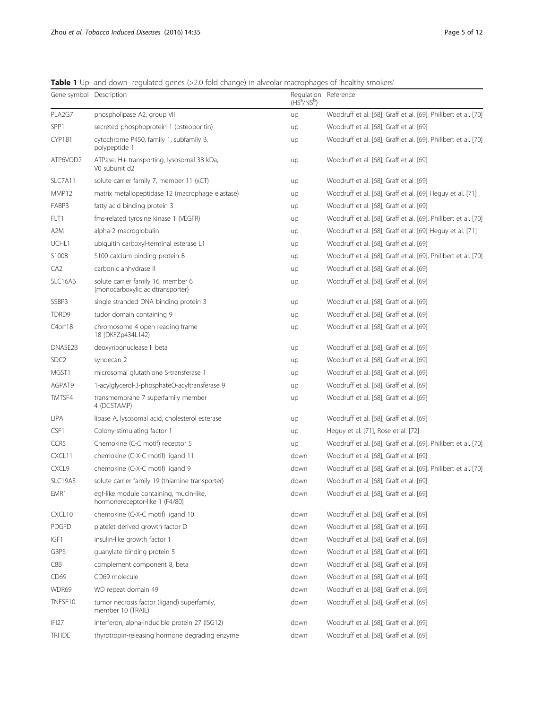<span id="page-4-0"></span>Table 1 Up- and down- regulated genes (>2.0 fold change) in alveolar macrophages of 'healthy smokers'

| Gene symbol Description |                                                                           | Regulation Reference<br>(HS <sup>a</sup> /NS <sup>b</sup> ) |                                                                |
|-------------------------|---------------------------------------------------------------------------|-------------------------------------------------------------|----------------------------------------------------------------|
| PLA2G7                  | phospholipase A2, group VII                                               | up                                                          | Woodruff et al. [68], Graff et al. [69], Philibert et al. [70] |
| SPP <sub>1</sub>        | secreted phosphoprotein 1 (osteopontin)                                   | up                                                          | Woodruff et al. [68], Graff et al. [69]                        |
| CYP1B1                  | cytochrome P450, family 1, subfamily B,<br>polypeptide 1                  | up                                                          | Woodruff et al. [68], Graff et al. [69], Philibert et al. [70] |
| ATP6VOD2                | ATPase, H+ transporting, lysosomal 38 kDa,<br>V0 subunit d2               | up                                                          | Woodruff et al. [68], Graff et al. [69]                        |
| SLC7A11                 | solute carrier family 7, member 11 (xCT)                                  | up                                                          | Woodruff et al. [68], Graff et al. [69]                        |
| MMP12                   | matrix metallopeptidase 12 (macrophage elastase)                          | up                                                          | Woodruff et al. [68], Graff et al. [69] Heguy et al. [71]      |
| FABP3                   | fatty acid binding protein 3                                              | up                                                          | Woodruff et al. [68], Graff et al. [69]                        |
| FLT1                    | fms-related tyrosine kinase 1 (VEGFR)                                     | up                                                          | Woodruff et al. [68], Graff et al. [69], Philibert et al. [70] |
| A2M                     | alpha-2-macroglobulin                                                     | up                                                          | Woodruff et al. [68], Graff et al. [69] Heguy et al. [71]      |
| UCHL1                   | ubiquitin carboxyl-terminal esterase L1                                   | up                                                          | Woodruff et al. [68], Graff et al. [69]                        |
| S100B                   | S100 calcium binding protein B                                            | up                                                          | Woodruff et al. [68], Graff et al. [69], Philibert et al. [70] |
| CA2                     | carbonic anhydrase II                                                     | up                                                          | Woodruff et al. [68], Graff et al. [69]                        |
| SLC16A6                 | solute carrier family 16, member 6<br>(monocarboxylic acidtransporter)    | up                                                          | Woodruff et al. [68], Graff et al. [69]                        |
| SSBP3                   | single stranded DNA binding protein 3                                     | up                                                          | Woodruff et al. [68], Graff et al. [69]                        |
| TDRD9                   | tudor domain containing 9                                                 | up                                                          | Woodruff et al. [68], Graff et al. [69]                        |
| C4orf18                 | chromosome 4 open reading frame<br>18 (DKFZp434L142)                      | up                                                          | Woodruff et al. [68], Graff et al. [69]                        |
| DNASE <sub>2</sub> B    | deoxyribonuclease II beta                                                 | up                                                          | Woodruff et al. [68], Graff et al. [69]                        |
| SDC <sub>2</sub>        | syndecan 2                                                                | up                                                          | Woodruff et al. [68], Graff et al. [69]                        |
| MGST1                   | microsomal glutathione S-transferase 1                                    | up                                                          | Woodruff et al. [68], Graff et al. [69]                        |
| AGPAT9                  | 1-acylglycerol-3-phosphateO-acyltransferase 9                             | up                                                          | Woodruff et al. [68], Graff et al. [69]                        |
| TMTSF4                  | transmembrane 7 superfamily member<br>4 (DCSTAMP)                         | up                                                          | Woodruff et al. [68], Graff et al. [69]                        |
| <b>LIPA</b>             | lipase A, lysosomal acid, cholesterol esterase                            | up                                                          | Woodruff et al. [68], Graff et al. [69]                        |
| CSF1                    | Colony-stimulating factor 1                                               | up                                                          | Heguy et al. [71], Rose et al. [72]                            |
| CCR5                    | Chemokine (C-C motif) receptor 5                                          | up                                                          | Woodruff et al. [68], Graff et al. [69], Philibert et al. [70] |
| CXCL11                  | chemokine (C-X-C motif) ligand 11                                         | down                                                        | Woodruff et al. [68], Graff et al. [69]                        |
| CXCL9                   | chemokine (C-X-C motif) ligand 9                                          | down                                                        | Woodruff et al. [68], Graff et al. [69], Philibert et al. [70] |
| SLC19A3                 | solute carrier family 19 (thiamine transporter)                           | down                                                        | Woodruff et al. [68], Graff et al. [69]                        |
| EMR1                    | egf-like module containing, mucin-like,<br>hormonereceptor-like 1 (F4/80) | down                                                        | Woodruff et al. [68], Graff et al. [69]                        |
| CXCL10                  | chemokine (C-X-C motif) ligand 10                                         | down                                                        | Woodruff et al. [68], Graff et al. [69]                        |
| PDGFD                   | platelet derived growth factor D                                          | down                                                        | Woodruff et al. [68], Graff et al. [69]                        |
| IGF1                    | insulin-like growth factor 1                                              | down                                                        | Woodruff et al. [68], Graff et al. [69]                        |
| <b>GBPS</b>             | guanylate binding protein 5                                               | down                                                        | Woodruff et al. [68], Graff et al. [69]                        |
| C8B                     | complement component 8, beta                                              | down                                                        | Woodruff et al. [68], Graff et al. [69]                        |
| CD69                    | CD69 molecule                                                             | down                                                        | Woodruff et al. [68], Graff et al. [69]                        |
| WDR69                   | WD repeat domain 49                                                       | down                                                        | Woodruff et al. [68], Graff et al. [69]                        |
| TNFSF10                 | tumor necrosis factor (ligand) superfamily,<br>member 10 (TRAIL)          | down                                                        | Woodruff et al. [68], Graff et al. [69]                        |
| IFI <sub>27</sub>       | interferon, alpha-inducible protein 27 (ISG12)                            | down                                                        | Woodruff et al. [68], Graff et al. [69]                        |
| <b>TRHDE</b>            | thyrotropin-releasing hormone degrading enzyme                            | down                                                        | Woodruff et al. [68], Graff et al. [69]                        |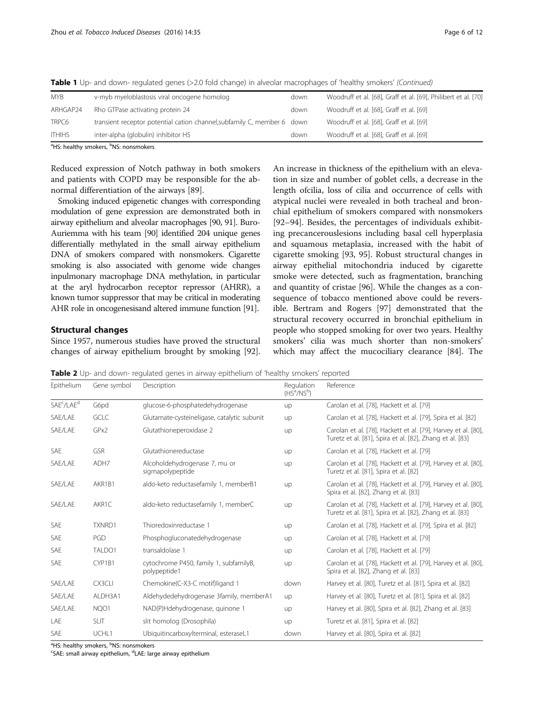| <b>MYB</b>    | v-myb myeloblastosis viral oncogene homolog                             | down | Woodruff et al. [68], Graff et al. [69], Philibert et al. [70] |
|---------------|-------------------------------------------------------------------------|------|----------------------------------------------------------------|
| ARHGAP24      | Rho GTPase activating protein 24                                        | down | Woodruff et al. [68], Graff et al. [69]                        |
| TRPC6         | transient receptor potential cation channel, subfamily C, member 6 down |      | Woodruff et al. [68], Graff et al. [69]                        |
| <b>ITHIHS</b> | inter-alpha (globulin) inhibitor H5                                     | down | Woodruff et al. [68], Graff et al. [69]                        |

<span id="page-5-0"></span>Table 1 Up- and down- regulated genes (>2.0 fold change) in alveolar macrophages of 'healthy smokers' (Continued)

<sup>a</sup>HS: healthy smokers, <sup>b</sup>NS: nonsmokers

Reduced expression of Notch pathway in both smokers and patients with COPD may be responsible for the abnormal differentiation of the airways [[89](#page-10-0)].

Smoking induced epigenetic changes with corresponding modulation of gene expression are demonstrated both in airway epithelium and alveolar macrophages [\[90, 91](#page-10-0)]. Buro-Auriemma with his team [\[90](#page-10-0)] identified 204 unique genes differentially methylated in the small airway epithelium DNA of smokers compared with nonsmokers. Cigarette smoking is also associated with genome wide changes inpulmonary macrophage DNA methylation, in particular at the aryl hydrocarbon receptor repressor (AHRR), a known tumor suppressor that may be critical in moderating AHR role in oncogenesisand altered immune function [\[91\]](#page-10-0).

# Structural changes

Since 1957, numerous studies have proved the structural changes of airway epithelium brought by smoking [\[92](#page-10-0)]. An increase in thickness of the epithelium with an elevation in size and number of goblet cells, a decrease in the length ofcilia, loss of cilia and occurrence of cells with atypical nuclei were revealed in both tracheal and bronchial epithelium of smokers compared with nonsmokers [[92](#page-10-0)–[94](#page-10-0)]. Besides, the percentages of individuals exhibiting precancerouslesions including basal cell hyperplasia and squamous metaplasia, increased with the habit of cigarette smoking [[93, 95](#page-10-0)]. Robust structural changes in airway epithelial mitochondria induced by cigarette smoke were detected, such as fragmentation, branching and quantity of cristae [\[96](#page-10-0)]. While the changes as a consequence of tobacco mentioned above could be reversible. Bertram and Rogers [\[97](#page-10-0)] demonstrated that the structural recovery occurred in bronchial epithelium in people who stopped smoking for over two years. Healthy smokers' cilia was much shorter than non-smokers' which may affect the mucociliary clearance [[84\]](#page-9-0). The

**Table 2** Up- and down- regulated genes in airway epithelium of 'healthy smokers' reported

| Epithelium                         | Gene symbol   | Description                                            | Regulation<br>(HS <sup>a</sup> /NS <sup>b</sup> ) | Reference                                                                                                                 |
|------------------------------------|---------------|--------------------------------------------------------|---------------------------------------------------|---------------------------------------------------------------------------------------------------------------------------|
| SAE <sup>c</sup> /LAE <sup>d</sup> | G6pd          | glucose-6-phosphatedehydrogenase                       | up                                                | Carolan et al. [78], Hackett et al. [79]                                                                                  |
| SAE/LAE                            | <b>GCLC</b>   | Glutamate-cysteineligase, catalytic subunit            | <b>up</b>                                         | Carolan et al. [78], Hackett et al. [79], Spira et al. [82]                                                               |
| SAE/LAE                            | GPx2          | Glutathioneperoxidase 2                                | up                                                | Carolan et al. [78], Hackett et al. [79], Harvey et al. [80],<br>Turetz et al. [81], Spira et al. [82], Zhang et al. [83] |
| <b>SAE</b>                         | <b>GSR</b>    | Glutathionereductase                                   | up                                                | Carolan et al. [78], Hackett et al. [79]                                                                                  |
| SAE/LAE                            | ADH7          | Alcoholdehydrogenase 7, mu or<br>sigmapolypeptide      | up                                                | Carolan et al. [78], Hackett et al. [79], Harvey et al. [80],<br>Turetz et al. [81], Spira et al. [82]                    |
| SAE/LAE                            | AKR1B1        | aldo-keto reductasefamily 1, memberB1                  | up                                                | Carolan et al. [78], Hackett et al. [79], Harvey et al. [80],<br>Spira et al. [82], Zhang et al. [83]                     |
| SAE/LAE                            | AKR1C         | aldo-keto reductasefamily 1, memberC                   | <b>up</b>                                         | Carolan et al. [78], Hackett et al. [79], Harvey et al. [80],<br>Turetz et al. [81], Spira et al. [82], Zhang et al. [83] |
| <b>SAF</b>                         | <b>TXNRD1</b> | Thioredoxinreductase 1                                 | up                                                | Carolan et al. [78], Hackett et al. [79], Spira et al. [82]                                                               |
| SAE                                | PGD           | Phosphogluconatedehydrogenase                          | up                                                | Carolan et al. [78], Hackett et al. [79]                                                                                  |
| SAE                                | TAI DO1       | transaldolase 1                                        | up                                                | Carolan et al. [78], Hackett et al. [79]                                                                                  |
| SAE                                | CYP1B1        | cytochrome P450, family 1, subfamilyB,<br>polypeptide1 | up                                                | Carolan et al. [78], Hackett et al. [79], Harvey et al. [80],<br>Spira et al. [82], Zhang et al. [83]                     |
| SAE/LAE                            | CX3CLI        | Chemokine(C-X3-C motif)ligand 1                        | down                                              | Harvey et al. [80], Turetz et al. [81], Spira et al. [82]                                                                 |
| SAE/LAE                            | ALDH3A1       | Aldehydedehydrogenase 3family, memberA1                | <b>up</b>                                         | Harvey et al. [80], Turetz et al. [81], Spira et al. [82]                                                                 |
| SAE/LAE                            | NQO1          | NAD(P)Hdehydrogenase, quinone 1                        | up                                                | Harvey et al. [80], Spira et al. [82], Zhang et al. [83]                                                                  |
| LAE                                | <b>SLIT</b>   | slit homolog (Drosophila)                              | up                                                | Turetz et al. [81], Spira et al. [82]                                                                                     |
| <b>SAF</b>                         | UCHL1         | Ubiquitincarboxylterminal, esteraseL1                  | down                                              | Harvey et al. [80], Spira et al. [82]                                                                                     |

<sup>a</sup>HS: healthy smokers, <sup>b</sup>NS: nonsmokers<br><sup>c</sup>SAE: small ainvay epithelium. <sup>d</sup>LAE: lar

SAE: small airway epithelium, <sup>d</sup>LAE: large airway epithelium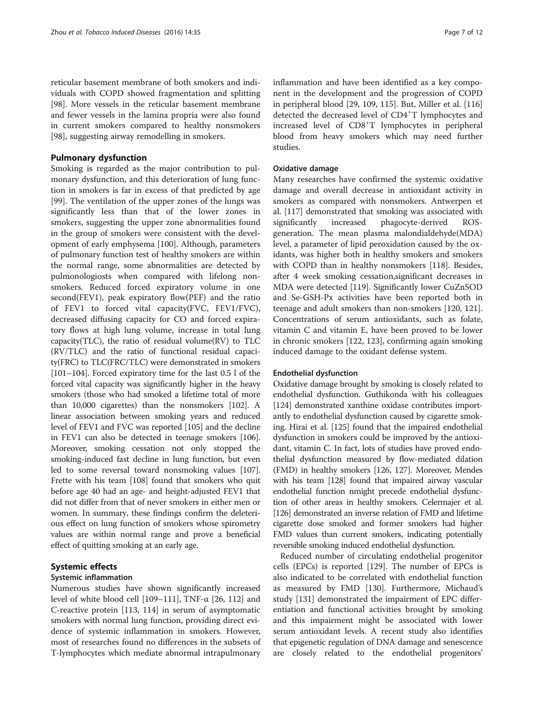reticular basement membrane of both smokers and individuals with COPD showed fragmentation and splitting [[98\]](#page-10-0). More vessels in the reticular basement membrane and fewer vessels in the lamina propria were also found in current smokers compared to healthy nonsmokers [[98\]](#page-10-0), suggesting airway remodelling in smokers.

# Pulmonary dysfunction

Smoking is regarded as the major contribution to pulmonary dysfunction, and this deterioration of lung function in smokers is far in excess of that predicted by age [[99\]](#page-10-0). The ventilation of the upper zones of the lungs was significantly less than that of the lower zones in smokers, suggesting the upper zone abnormalities found in the group of smokers were consistent with the development of early emphysema [[100](#page-10-0)]. Although, parameters of pulmonary function test of healthy smokers are within the normal range, some abnormalities are detected by pulmonologiosts when compared with lifelong nonsmokers. Reduced forced expiratory volume in one second(FEV1), peak expiratory flow(PEF) and the ratio of FEV1 to forced vital capacity(FVC, FEV1/FVC), decreased diffusing capacity for CO and forced expiratory flows at high lung volume, increase in total lung capacity(TLC), the ratio of residual volume(RV) to TLC (RV/TLC) and the ratio of functional residual capacity(FRC) to TLC(FRC/TLC) were demonstrated in smokers [[101](#page-10-0)–[104\]](#page-10-0). Forced expiratory time for the last 0.5 l of the forced vital capacity was significantly higher in the heavy smokers (those who had smoked a lifetime total of more than 10,000 cigarettes) than the nonsmokers [\[102\]](#page-10-0). A linear association between smoking years and reduced level of FEV1 and FVC was reported [[105](#page-10-0)] and the decline in FEV1 can also be detected in teenage smokers [[106](#page-10-0)]. Moreover, smoking cessation not only stopped the smoking-induced fast decline in lung function, but even led to some reversal toward nonsmoking values [[107](#page-10-0)]. Frette with his team [[108](#page-10-0)] found that smokers who quit before age 40 had an age- and height-adjusted FEV1 that did not differ from that of never smokers in either men or women. In summary, these findings confirm the deleterious effect on lung function of smokers whose spirometry values are within normal range and prove a beneficial effect of quitting smoking at an early age.

# Systemic effects

#### Systemic inflammation

Numerous studies have shown significantly increased level of white blood cell [[109](#page-10-0)–[111\]](#page-10-0), TNF- $\alpha$  [\[26](#page-8-0), [112](#page-10-0)] and C-reactive protein [[113](#page-10-0), [114\]](#page-10-0) in serum of asymptomatic smokers with normal lung function, providing direct evidence of systemic inflammation in smokers. However, most of researches found no differences in the subsets of T-lymphocytes which mediate abnormal intrapulmonary inflammation and have been identified as a key component in the development and the progression of COPD in peripheral blood [\[29](#page-8-0), [109](#page-10-0), [115](#page-10-0)]. But, Miller et al. [[116](#page-10-0)] detected the decreased level of CD4<sup>+</sup>T lymphocytes and increased level of CD8<sup>+</sup>T lymphocytes in peripheral blood from heavy smokers which may need further studies.

# Oxidative damage

Many researches have confirmed the systemic oxidative damage and overall decrease in antioxidant activity in smokers as compared with nonsmokers. Antwerpen et al. [\[117\]](#page-10-0) demonstrated that smoking was associated with significantly increased phagocyte-derived ROSgeneration. The mean plasma malondialdehyde(MDA) level, a parameter of lipid peroxidation caused by the oxidants, was higher both in healthy smokers and smokers with COPD than in healthy nonsmokers [\[118\]](#page-10-0). Besides, after 4 week smoking cessation,significant decreases in MDA were detected [[119](#page-10-0)]. Significantly lower CuZnSOD and Se-GSH-Px activities have been reported both in teenage and adult smokers than non-smokers [[120](#page-10-0), [121](#page-10-0)]. Concentrations of serum antioxidants, such as folate, vitamin C and vitamin E, have been proved to be lower in chronic smokers [\[122, 123\]](#page-10-0), confirming again smoking induced damage to the oxidant defense system.

#### Endothelial dysfunction

Oxidative damage brought by smoking is closely related to endothelial dysfunction. Guthikonda with his colleagues [[124](#page-10-0)] demonstrated xanthine oxidase contributes importantly to endothelial dysfunction caused by cigarette smoking. Hirai et al. [\[125\]](#page-10-0) found that the impaired endothelial dysfunction in smokers could be improved by the antioxidant, vitamin C. In fact, lots of studies have proved endothelial dysfunction measured by flow-mediated dilation (FMD) in healthy smokers [\[126, 127\]](#page-10-0). Moreover, Mendes with his team [\[128](#page-10-0)] found that impaired airway vascular endothelial function nmight precede endothelial dysfunction of other areas in healthy smokers. Celermajer et al. [[126\]](#page-10-0) demonstrated an inverse relation of FMD and lifetime cigarette dose smoked and former smokers had higher FMD values than current smokers, indicating potentially reversible smoking induced endothelial dysfunction.

Reduced number of circulating endothelial progenitor cells (EPCs) is reported [\[129](#page-10-0)]. The number of EPCs is also indicated to be correlated with endothelial function as measured by FMD [[130\]](#page-11-0). Furthermore, Michaud's study [\[131\]](#page-11-0) demonstrated the impairment of EPC differentiation and functional activities brought by smoking and this impairment might be associated with lower serum antioxidant levels. A recent study also identifies that epigenetic regulation of DNA damage and senescence are closely related to the endothelial progenitors'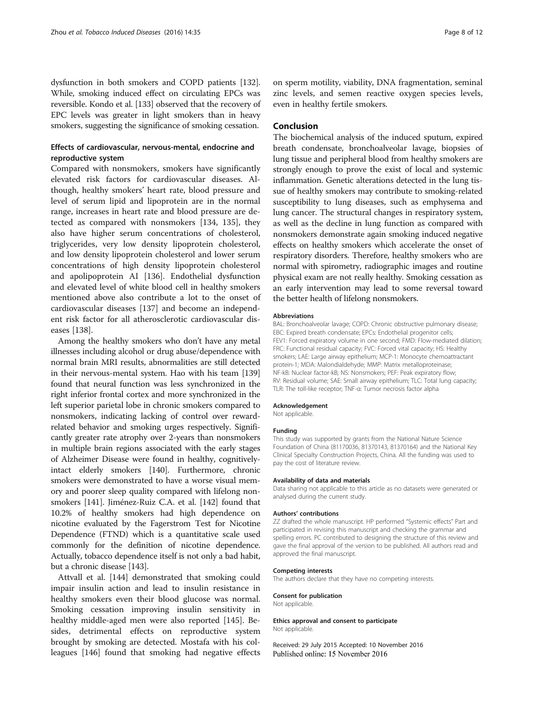dysfunction in both smokers and COPD patients [[132](#page-11-0)]. While, smoking induced effect on circulating EPCs was reversible. Kondo et al. [[133](#page-11-0)] observed that the recovery of EPC levels was greater in light smokers than in heavy smokers, suggesting the significance of smoking cessation.

# Effects of cardiovascular, nervous-mental, endocrine and reproductive system

Compared with nonsmokers, smokers have significantly elevated risk factors for cardiovascular diseases. Although, healthy smokers' heart rate, blood pressure and level of serum lipid and lipoprotein are in the normal range, increases in heart rate and blood pressure are detected as compared with nonsmokers [\[134, 135\]](#page-11-0), they also have higher serum concentrations of cholesterol, triglycerides, very low density lipoprotein cholesterol, and low density lipoprotein cholesterol and lower serum concentrations of high density lipoprotein cholesterol and apolipoprotein AI [[136\]](#page-11-0). Endothelial dysfunction and elevated level of white blood cell in healthy smokers mentioned above also contribute a lot to the onset of cardiovascular diseases [[137](#page-11-0)] and become an independent risk factor for all atherosclerotic cardiovascular diseases [[138](#page-11-0)].

Among the healthy smokers who don't have any metal illnesses including alcohol or drug abuse/dependence with normal brain MRI results, abnormalities are still detected in their nervous-mental system. Hao with his team [[139](#page-11-0)] found that neural function was less synchronized in the right inferior frontal cortex and more synchronized in the left superior parietal lobe in chronic smokers compared to nonsmokers, indicating lacking of control over rewardrelated behavior and smoking urges respectively. Significantly greater rate atrophy over 2-years than nonsmokers in multiple brain regions associated with the early stages of Alzheimer Disease were found in healthy, cognitivelyintact elderly smokers [\[140\]](#page-11-0). Furthermore, chronic smokers were demonstrated to have a worse visual memory and poorer sleep quality compared with lifelong nonsmokers [[141](#page-11-0)]. Jiménez-Ruiz C.A. et al. [[142](#page-11-0)] found that 10.2% of healthy smokers had high dependence on nicotine evaluated by the Fagerstrom Test for Nicotine Dependence (FTND) which is a quantitative scale used commonly for the definition of nicotine dependence. Actually, tobacco dependence itself is not only a bad habit, but a chronic disease [\[143\]](#page-11-0).

Attvall et al. [\[144\]](#page-11-0) demonstrated that smoking could impair insulin action and lead to insulin resistance in healthy smokers even their blood glucose was normal. Smoking cessation improving insulin sensitivity in healthy middle-aged men were also reported [[145](#page-11-0)]. Besides, detrimental effects on reproductive system brought by smoking are detected. Mostafa with his colleagues [\[146\]](#page-11-0) found that smoking had negative effects

on sperm motility, viability, DNA fragmentation, seminal zinc levels, and semen reactive oxygen species levels, even in healthy fertile smokers.

# Conclusion

The biochemical analysis of the induced sputum, expired breath condensate, bronchoalveolar lavage, biopsies of lung tissue and peripheral blood from healthy smokers are strongly enough to prove the exist of local and systemic inflammation. Genetic alterations detected in the lung tissue of healthy smokers may contribute to smoking-related susceptibility to lung diseases, such as emphysema and lung cancer. The structural changes in respiratory system, as well as the decline in lung function as compared with nonsmokers demonstrate again smoking induced negative effects on healthy smokers which accelerate the onset of respiratory disorders. Therefore, healthy smokers who are normal with spirometry, radiographic images and routine physical exam are not really healthy. Smoking cessation as an early intervention may lead to some reversal toward the better health of lifelong nonsmokers.

#### Abbreviations

BAL: Bronchoalveolar lavage; COPD: Chronic obstructive pulmonary disease; EBC: Expired breath condensate; EPCs: Endothelial progenitor cells; FEV1: Forced expiratory volume in one second; FMD: Flow-mediated dilation; FRC: Functional residual capacity; FVC: Forced vital capacity; HS: Healthy smokers; LAE: Large airway epithelium; MCP-1: Monocyte chemoattractant protein-1; MDA: Malondialdehyde; MMP: Matrix metalloproteinase; NF-kB: Nuclear factor-kB; NS: Nonsmokers; PEF: Peak expiratory flow; RV: Residual volume; SAE: Small airway epithelium; TLC: Total lung capacity; TLR: The toll-like receptor; TNF-α: Tumor necrosis factor alpha

#### Acknowledgement

Not applicable.

#### Funding

This study was supported by grants from the National Nature Science Foundation of China (81170036, 81370143, 81370164) and the National Key Clinical Specialty Construction Projects, China. All the funding was used to pay the cost of literature review.

#### Availability of data and materials

Data sharing not applicable to this article as no datasets were generated or analysed during the current study.

#### Authors' contributions

ZZ drafted the whole manuscript. HP performed "Systemic effects" Part and participated in revising this manuscript and checking the grammar and spelling errors. PC contributed to designing the structure of this review and gave the final approval of the version to be published. All authors read and approved the final manuscript.

#### Competing interests

The authors declare that they have no competing interests.

#### Consent for publication

Not applicable.

#### Ethics approval and consent to participate

Not applicable.

Received: 29 July 2015 Accepted: 10 November 2016 Published online: 15 November 2016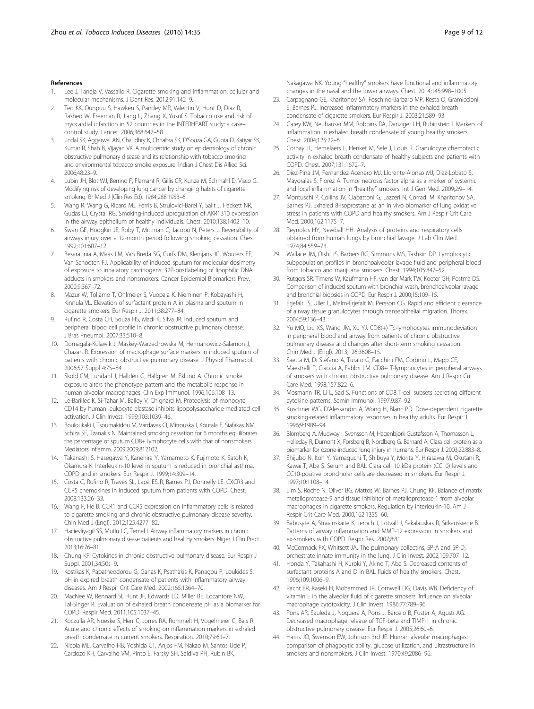#### <span id="page-8-0"></span>References

- Lee J, Taneja V, Vassallo R. Cigarette smoking and inflammation: cellular and molecular mechanisms. J Dent Res. 2012;91:142–9.
- Teo KK, Ounpuu S, Hawken S, Pandey MR, Valentin V, Hunt D, Diaz R, Rashed W, Freeman R, Jiang L, Zhang X, Yusuf S. Tobacco use and risk of myocardial infarction in 52 countries in the INTERHEART study: a case– control study. Lancet. 2006;368:647–58.
- 3. Jindal SK, Aggarwal AN, Chaudhry K, Chhabra SK, D'Souza GA, Gupta D, Katiyar SK, Kumar R, Shah B, Vijayan VK. A multicentric study on epidemiology of chronic obstructive pulmonary disease and its relationship with tobacco smoking and environmental tobacco smoke exposure. Indian J Chest Dis Allied Sci. 2006;48:23–9.
- 4. Lubin JH, Blot WJ, Berrino F, Flamant R, Gillis CR, Kunze M, Schmahl D, Visco G. Modifying risk of developing lung cancer by changing habits of cigarette smoking. Br Med J (Clin Res Ed). 1984;288:1953–6.
- 5. Wang R, Wang G, Ricard MJ, Ferris B, Strulovici-Barel Y, Salit J, Hackett NR, Gudas LJ, Crystal RG. Smoking-induced upregulation of AKR1B10 expression in the airway epithelium of healthy individuals. Chest. 2010;138:1402–10.
- 6. Swan GE, Hodgkin JE, Roby T, Mittman C, Jacobo N, Peters J. Reversibility of airways injury over a 12-month period following smoking cessation. Chest. 1992;101:607–12.
- Besaratinia A, Maas LM, Van Breda SG, Curfs DM, Kleinjans JC, Wouters EF, Van Schooten FJ. Applicability of induced sputum for molecular dosimetry of exposure to inhalatory carcinogens: 32P-postlabeling of lipophilic DNA adducts in smokers and nonsmokers. Cancer Epidemiol Biomarkers Prev. 2000;9:367–72.
- 8. Mazur W, Toljamo T, Ohlmeier S, Vuopala K, Nieminen P, Kobayashi H, Kinnula VL. Elevation of surfactant protein A in plasma and sputum in cigarette smokers. Eur Respir J. 2011;38:277–84.
- Rufino R, Costa CH, Souza HS, Madi K, Silva JR. Induced sputum and peripheral blood cell profile in chronic obstructive pulmonary disease. J Bras Pneumol. 2007;33:510–8.
- 10. Domagala-Kulawik J, Maskey-Warzechowska M, Hermanowicz-Salamon J, Chazan R. Expression of macrophage surface markers in induced sputum of patients with chronic obstructive pulmonary disease. J Physiol Pharmacol. 2006;57 Suppl 4:75–84.
- 11. Skold CM, Lundahl J, Hallden G, Hallgren M, Eklund A. Chronic smoke exposure alters the phenotype pattern and the metabolic response in human alveolar macrophages. Clin Exp Immunol. 1996;106:108–13.
- 12. Le-Barillec K, Si-Tahar M, Balloy V, Chignard M. Proteolysis of monocyte CD14 by human leukocyte elastase inhibits lipopolysaccharide-mediated cell activation. J Clin Invest. 1999;103:1039–46.
- 13. Bouloukaki I, Tsoumakidou M, Vardavas CI, Mitrouska I, Koutala E, Siafakas NM, Schiza SE, Tzanakis N. Maintained smoking cessation for 6 months equilibrates the percentage of sputum CD8+ lymphocyte cells with that of nonsmokers. Mediators Inflamm. 2009;2009:812102.
- 14. Takanashi S, Hasegawa Y, Kanehira Y, Yamamoto K, Fujimoto K, Satoh K, Okamura K. Interleukin-10 level in sputum is reduced in bronchial asthma, COPD and in smokers. Eur Respir J. 1999;14:309–14.
- 15. Costa C, Rufino R, Traves SL, Lapa ESJR, Barnes PJ, Donnelly LE. CXCR3 and CCR5 chemokines in induced sputum from patients with COPD. Chest. 2008;133:26–33.
- 16. Wang F, He B. CCR1 and CCR5 expression on inflammatory cells is related to cigarette smoking and chronic obstructive pulmonary disease severity. Chin Med J (Engl). 2012;125:4277–82.
- 17. Hacievliyagil SS, Mutlu LC, Temel I. Airway inflammatory markers in chronic obstructive pulmonary disease patients and healthy smokers. Niger J Clin Pract. 2013;16:76–81.
- 18. Chung KF. Cytokines in chronic obstructive pulmonary disease. Eur Respir J Suppl. 2001;34:50s–9.
- 19. Kostikas K, Papatheodorou G, Ganas K, Psathakis K, Panagou P, Loukides S. pH in expired breath condensate of patients with inflammatory airway diseases. Am J Respir Crit Care Med. 2002;165:1364–70.
- 20. MacNee W, Rennard SI, Hunt JF, Edwards LD, Miller BE, Locantore NW, Tal-Singer R. Evaluation of exhaled breath condensate pH as a biomarker for COPD. Respir Med. 2011;105:1037–45.
- 21. Koczulla AR, Noeske S, Herr C, Jorres RA, Rommelt H, Vogelmeier C, Bals R. Acute and chronic effects of smoking on inflammation markers in exhaled breath condensate in current smokers. Respiration. 2010;79:61–7.
- 22. Nicola ML, Carvalho HB, Yoshida CT, Anjos FM, Nakao M, Santos Ude P, Cardozo KH, Carvalho VM, Pinto E, Farsky SH, Saldiva PH, Rubin BK,

Nakagawa NK. Young "healthy" smokers have functional and inflammatory changes in the nasal and the lower airways. Chest. 2014;145:998–1005.

- 23. Carpagnano GE, Kharitonov SA, Foschino-Barbaro MP, Resta O, Gramiccioni E, Barnes PJ. Increased inflammatory markers in the exhaled breath condensate of cigarette smokers. Eur Respir J. 2003;21:589–93.
- 24. Garey KW, Neuhauser MM, Robbins RA, Danziger LH, Rubinstein I. Markers of inflammation in exhaled breath condensate of young healthy smokers. Chest. 2004;125:22–6.
- 25. Corhay JL, Hemelaers L, Henket M, Sele J, Louis R. Granulocyte chemotactic activity in exhaled breath condensate of healthy subjects and patients with COPD. Chest. 2007;131:1672–7.
- 26. Diez-Pina JM, Fernandez-Acenero MJ, Llorente-Alonso MJ, Diaz-Lobato S, Mayoralas S, Florez A. Tumor necrosis factor alpha as a marker of systemic and local inflammation in "healthy" smokers. Int J Gen Med. 2009;2:9–14.
- 27. Montuschi P, Collins JV, Ciabattoni G, Lazzeri N, Corradi M, Kharitonov SA, Barnes PJ. Exhaled 8-isoprostane as an in vivo biomarker of lung oxidative stress in patients with COPD and healthy smokers. Am J Respir Crit Care Med. 2000;162:1175–7.
- 28. Reynolds HY, Newball HH. Analysis of proteins and respiratory cells obtained from human lungs by bronchial lavage. J Lab Clin Med. 1974;84:559–73.
- 29. Wallace JM, Oishi JS, Barbers RG, Simmons MS, Tashkin DP. Lymphocytic subpopulation profiles in bronchoalveolar lavage fluid and peripheral blood from tobacco and marijuana smokers. Chest. 1994;105:847–52.
- 30. Rutgers SR, Timens W, Kaufmann HF, van der Mark TW, Koeter GH, Postma DS. Comparison of induced sputum with bronchial wash, bronchoalveolar lavage and bronchial biopsies in COPD. Eur Respir J. 2000;15:109–15.
- 31. Erjefalt JS, Uller L, Malm-Erjefalt M, Persson CG. Rapid and efficient clearance of airway tissue granulocytes through transepithelial migration. Thorax. 2004;59:136–43.
- 32. Yu MQ, Liu XS, Wang JM, Xu YJ. CD8(+) Tc-lymphocytes immunodeviation in peripheral blood and airway from patients of chronic obstructive pulmonary disease and changes after short-term smoking cessation. Chin Med J (Engl). 2013;126:3608–15.
- 33. Saetta M, Di Stefano A, Turato G, Facchini FM, Corbino L, Mapp CE, Maestrelli P, Ciaccia A, Fabbri LM. CD8+ T-lymphocytes in peripheral airways of smokers with chronic obstructive pulmonary disease. Am J Respir Crit Care Med. 1998;157:822–6.
- 34. Mosmann TR, Li L, Sad S. Functions of CD8 T-cell subsets secreting different cytokine patterns. Semin Immunol. 1997;9:87–92.
- 35. Kuschner WG, D'Alessandro A, Wong H, Blanc PD. Dose-dependent cigarette smoking-related inflammatory responses in healthy adults. Eur Respir J. 1996;9:1989–94.
- 36. Blomberg A, Mudway I, Svensson M, Hagenbjork-Gustafsson A, Thomasson L, Helleday R, Dumont X, Forsberg B, Nordberg G, Bernard A. Clara cell protein as a biomarker for ozone-induced lung injury in humans. Eur Respir J. 2003;22:883–8.
- 37. Shijubo N, Itoh Y, Yamaguchi T, Shibuya Y, Morita Y, Hirasawa M, Okutani R, Kawai T, Abe S. Serum and BAL Clara cell 10 kDa protein (CC10) levels and CC10-positive bronchiolar cells are decreased in smokers. Eur Respir J. 1997;10:1108–14.
- 38. Lim S, Roche N, Oliver BG, Mattos W, Barnes PJ, Chung KF. Balance of matrix metalloprotease-9 and tissue inhibitor of metalloprotease-1 from alveolar macrophages in cigarette smokers. Regulation by interleukin-10. Am J Respir Crit Care Med. 2000;162:1355–60.
- 39. Babusyte A, Stravinskaite K, Jeroch J, Lotvall J, Sakalauskas R, Sitkauskiene B. Patterns of airway inflammation and MMP-12 expression in smokers and ex-smokers with COPD. Respir Res. 2007;8:81.
- 40. McCormack FX, Whitsett JA. The pulmonary collectins, SP-A and SP-D, orchestrate innate immunity in the lung. J Clin Invest. 2002;109:707–12.
- 41. Honda Y, Takahashi H, Kuroki Y, Akino T, Abe S. Decreased contents of surfactant proteins A and D in BAL fluids of healthy smokers. Chest. 1996;109:1006–9.
- 42. Pacht ER, Kaseki H, Mohammed JR, Cornwell DG, Davis WB. Deficiency of vitamin E in the alveolar fluid of cigarette smokers. Influence on alveolar macrophage cytotoxicity. J Clin Invest. 1986;77:789–96.
- 43. Pons AR, Sauleda J, Noguera A, Pons J, Barcelo B, Fuster A, Agusti AG. Decreased macrophage release of TGF-beta and TIMP-1 in chronic obstructive pulmonary disease. Eur Respir J. 2005;26:60–6.
- 44. Harris JO, Swenson EW, Johnson 3rd JE. Human alveolar macrophages: comparison of phagocytic ability, glucose utilization, and ultrastructure in smokers and nonsmokers. J Clin Invest. 1970;49:2086–96.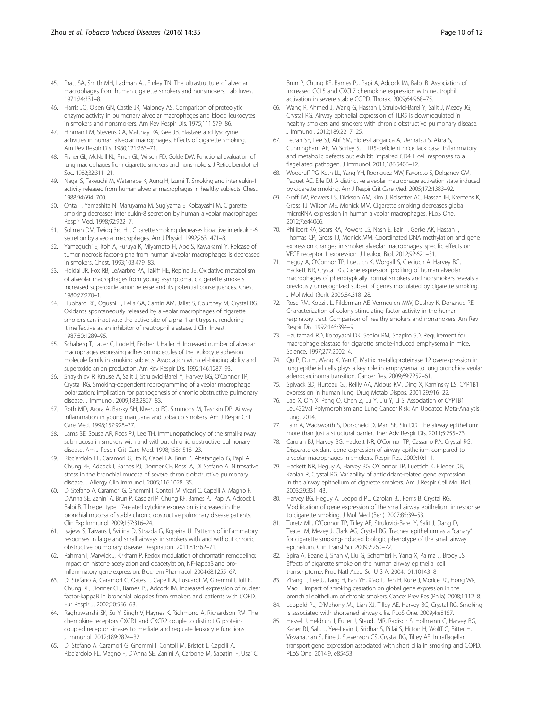- <span id="page-9-0"></span>45. Pratt SA, Smith MH, Ladman AJ, Finley TN. The ultrastructure of alveolar macrophages from human cigarette smokers and nonsmokers. Lab Invest. 1971;24:331–8.
- 46. Harris JO, Olsen GN, Castle JR, Maloney AS. Comparison of proteolytic enzyme activity in pulmonary alveolar macrophages and blood leukocytes in smokers and nonsmokers. Am Rev Respir Dis. 1975;111:579–86.
- 47. Hinman LM, Stevens CA, Matthay RA, Gee JB. Elastase and lysozyme activities in human alveolar macrophages. Effects of cigarette smoking. Am Rev Respir Dis. 1980;121:263–71.
- 48. Fisher GL, McNeill KL, Finch GL, Wilson FD, Golde DW. Functional evaluation of lung macrophages from cigarette smokers and nonsmokers. J Reticuloendothel Soc. 1982;32:311–21.
- 49. Nagai S, Takeuchi M, Watanabe K, Aung H, Izumi T. Smoking and interleukin-1 activity released from human alveolar macrophages in healthy subjects. Chest. 1988;94:694–700.
- 50. Ohta T, Yamashita N, Maruyama M, Sugiyama E, Kobayashi M. Cigarette smoking decreases interleukin-8 secretion by human alveolar macrophages. Respir Med. 1998;92:922–7.
- 51. Soliman DM, Twigg 3rd HL. Cigarette smoking decreases bioactive interleukin-6 secretion by alveolar macrophages. Am J Physiol. 1992;263:L471–8.
- 52. Yamaguchi E, Itoh A, Furuya K, Miyamoto H, Abe S, Kawakami Y. Release of tumor necrosis factor-alpha from human alveolar macrophages is decreased in smokers. Chest. 1993;103:479–83.
- 53. Hoidal JR, Fox RB, LeMarbre PA, Takiff HE, Repine JE. Oxidative metabolism of alveolar macrophages from young asymptomatic cigarette smokers. Increased superoxide anion release and its potential consequences. Chest. 1980;77:270–1.
- 54. Hubbard RC, Ogushi F, Fells GA, Cantin AM, Jallat S, Courtney M, Crystal RG. Oxidants spontaneously released by alveolar macrophages of cigarette smokers can inactivate the active site of alpha 1-antitrypsin, rendering it ineffective as an inhibitor of neutrophil elastase. J Clin Invest. 1987;80:1289–95.
- 55. Schaberg T, Lauer C, Lode H, Fischer J, Haller H. Increased number of alveolar macrophages expressing adhesion molecules of the leukocyte adhesion molecule family in smoking subjects. Association with cell-binding ability and superoxide anion production. Am Rev Respir Dis. 1992;146:1287–93.
- 56. Shaykhiev R, Krause A, Salit J, Strulovici-Barel Y, Harvey BG, O'Connor TP, Crystal RG. Smoking-dependent reprogramming of alveolar macrophage polarization: implication for pathogenesis of chronic obstructive pulmonary disease. J Immunol. 2009;183:2867–83.
- 57. Roth MD, Arora A, Barsky SH, Kleerup EC, Simmons M, Tashkin DP. Airway inflammation in young marijuana and tobacco smokers. Am J Respir Crit Care Med. 1998;157:928–37.
- 58. Lams BE, Sousa AR, Rees PJ, Lee TH. Immunopathology of the small-airway submucosa in smokers with and without chronic obstructive pulmonary disease. Am J Respir Crit Care Med. 1998;158:1518–23.
- 59. Ricciardolo FL, Caramori G, Ito K, Capelli A, Brun P, Abatangelo G, Papi A, Chung KF, Adcock I, Barnes PJ, Donner CF, Rossi A, Di Stefano A. Nitrosative stress in the bronchial mucosa of severe chronic obstructive pulmonary disease. J Allergy Clin Immunol. 2005;116:1028–35.
- 60. Di Stefano A, Caramori G, Gnemmi I, Contoli M, Vicari C, Capelli A, Magno F, D'Anna SE, Zanini A, Brun P, Casolari P, Chung KF, Barnes PJ, Papi A, Adcock I, Balbi B. T helper type 17-related cytokine expression is increased in the bronchial mucosa of stable chronic obstructive pulmonary disease patients. Clin Exp Immunol. 2009;157:316–24.
- 61. Isajevs S, Taivans I, Svirina D, Strazda G, Kopeika U. Patterns of inflammatory responses in large and small airways in smokers with and without chronic obstructive pulmonary disease. Respiration. 2011;81:362–71.
- 62. Rahman I, Marwick J, Kirkham P. Redox modulation of chromatin remodeling: impact on histone acetylation and deacetylation, NF-kappaB and proinflammatory gene expression. Biochem Pharmacol. 2004;68:1255–67.
- 63. Di Stefano A, Caramori G, Oates T, Capelli A, Lusuardi M, Gnemmi I, Ioli F, Chung KF, Donner CF, Barnes PJ, Adcock IM. Increased expression of nuclear factor-kappaB in bronchial biopsies from smokers and patients with COPD. Eur Respir J. 2002;20:556–63.
- 64. Raghuwanshi SK, Su Y, Singh V, Haynes K, Richmond A, Richardson RM. The chemokine receptors CXCR1 and CXCR2 couple to distinct G proteincoupled receptor kinases to mediate and regulate leukocyte functions. J Immunol. 2012;189:2824–32.
- 65. Di Stefano A, Caramori G, Gnemmi I, Contoli M, Bristot L, Capelli A, Ricciardolo FL, Magno F, D'Anna SE, Zanini A, Carbone M, Sabatini F, Usai C,

Brun P, Chung KF, Barnes PJ, Papi A, Adcock IM, Balbi B. Association of increased CCL5 and CXCL7 chemokine expression with neutrophil activation in severe stable COPD. Thorax. 2009;64:968–75.

- 66. Wang R, Ahmed J, Wang G, Hassan I, Strulovici-Barel Y, Salit J, Mezey JG, Crystal RG. Airway epithelial expression of TLR5 is downregulated in healthy smokers and smokers with chronic obstructive pulmonary disease. J Immunol. 2012;189:2217–25.
- 67. Letran SE, Lee SJ, Atif SM, Flores-Langarica A, Uematsu S, Akira S, Cunningham AF, McSorley SJ. TLR5-deficient mice lack basal inflammatory and metabolic defects but exhibit impaired CD4 T cell responses to a flagellated pathogen. J Immunol. 2011;186:5406–12.
- 68. Woodruff PG, Koth LL, Yang YH, Rodriguez MW, Favoreto S, Dolganov GM, Paquet AC, Erle DJ. A distinctive alveolar macrophage activation state induced by cigarette smoking. Am J Respir Crit Care Med. 2005;172:1383–92.
- 69. Graff JW, Powers LS, Dickson AM, Kim J, Reisetter AC, Hassan IH, Kremens K, Gross TJ, Wilson ME, Monick MM. Cigarette smoking decreases global microRNA expression in human alveolar macrophages. PLoS One. 2012;7:e44066.
- 70. Philibert RA, Sears RA, Powers LS, Nash E, Bair T, Gerke AK, Hassan I, Thomas CP, Gross TJ, Monick MM. Coordinated DNA methylation and gene expression changes in smoker alveolar macrophages: specific effects on VEGF receptor 1 expression. J Leukoc Biol. 2012;92:621–31.
- 71. Heguy A, O'Connor TP, Luettich K, Worgall S, Cieciuch A, Harvey BG, Hackett NR, Crystal RG. Gene expression profiling of human alveolar macrophages of phenotypically normal smokers and nonsmokers reveals a previously unrecognized subset of genes modulated by cigarette smoking. J Mol Med (Berl). 2006;84:318–28.
- 72. Rose RM, Kobzik L, Filderman AE, Vermeulen MW, Dushay K, Donahue RE. Characterization of colony stimulating factor activity in the human respiratory tract. Comparison of healthy smokers and nonsmokers. Am Rev Respir Dis. 1992;145:394–9.
- 73. Hautamaki RD, Kobayashi DK, Senior RM, Shapiro SD. Requirement for macrophage elastase for cigarette smoke-induced emphysema in mice. Science. 1997;277:2002–4.
- 74. Qu P, Du H, Wang X, Yan C. Matrix metalloproteinase 12 overexpression in lung epithelial cells plays a key role in emphysema to lung bronchioalveolar adenocarcinoma transition. Cancer Res. 2009;69:7252–61.
- 75. Spivack SD, Hurteau GJ, Reilly AA, Aldous KM, Ding X, Kaminsky LS. CYP1B1 expression in human lung. Drug Metab Dispos. 2001;29:916–22.
- 76. Lao X, Qin X, Peng Q, Chen Z, Lu Y, Liu Y, Li S. Association of CYP1B1 Leu432Val Polymorphism and Lung Cancer Risk: An Updated Meta-Analysis. Lung. 2014.
- 77. Tam A, Wadsworth S, Dorscheid D, Man SF, Sin DD. The airway epithelium: more than just a structural barrier. Ther Adv Respir Dis. 2011;5:255–73.
- 78. Carolan BJ, Harvey BG, Hackett NR, O'Connor TP, Cassano PA, Crystal RG. Disparate oxidant gene expression of airway epithelium compared to alveolar macrophages in smokers. Respir Res. 2009;10:111.
- 79. Hackett NR, Heguy A, Harvey BG, O'Connor TP, Luettich K, Flieder DB, Kaplan R, Crystal RG. Variability of antioxidant-related gene expression in the airway epithelium of cigarette smokers. Am J Respir Cell Mol Biol. 2003;29:331–43.
- 80. Harvey BG, Heguy A, Leopold PL, Carolan BJ, Ferris B, Crystal RG. Modification of gene expression of the small airway epithelium in response to cigarette smoking. J Mol Med (Berl). 2007;85:39–53.
- 81. Turetz ML, O'Connor TP, Tilley AE, Strulovici-Barel Y, Salit J, Dang D, Teater M, Mezey J, Clark AG, Crystal RG. Trachea epithelium as a "canary" for cigarette smoking-induced biologic phenotype of the small airway epithelium. Clin Transl Sci. 2009;2:260–72.
- Spira A, Beane J, Shah V, Liu G, Schembri F, Yang X, Palma J, Brody JS. Effects of cigarette smoke on the human airway epithelial cell transcriptome. Proc Natl Acad Sci U S A. 2004;101:10143–8.
- 83. Zhang L, Lee JJ, Tang H, Fan YH, Xiao L, Ren H, Kurie J, Morice RC, Hong WK, Mao L. Impact of smoking cessation on global gene expression in the bronchial epithelium of chronic smokers. Cancer Prev Res (Phila). 2008;1:112–8.
- 84. Leopold PL, O'Mahony MJ, Lian XJ, Tilley AE, Harvey BG, Crystal RG. Smoking is associated with shortened airway cilia. PLoS One. 2009;4:e8157.
- 85. Hessel J, Heldrich J, Fuller J, Staudt MR, Radisch S, Hollmann C, Harvey BG, Kaner RJ, Salit J, Yee-Levin J, Sridhar S, Pillai S, Hilton H, Wolff G, Bitter H, Visvanathan S, Fine J, Stevenson CS, Crystal RG, Tilley AE. Intraflagellar transport gene expression associated with short cilia in smoking and COPD. PLoS One. 2014;9, e85453.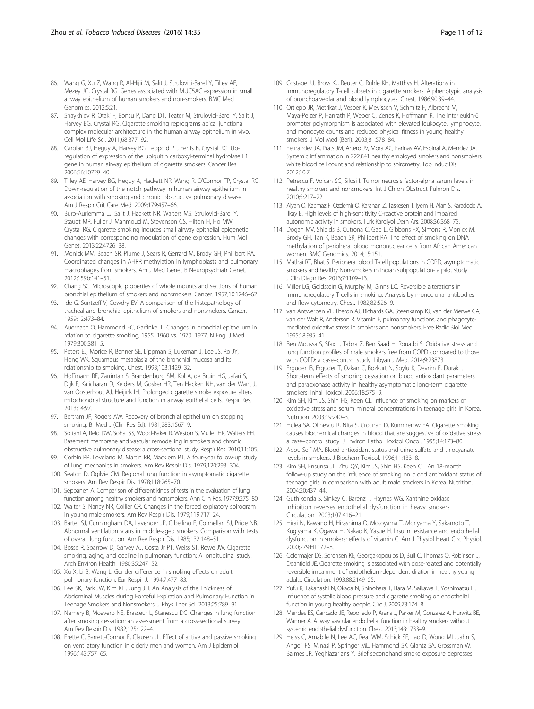- <span id="page-10-0"></span>86. Wang G, Xu Z, Wang R, Al-Hijji M, Salit J, Strulovici-Barel Y, Tilley AE, Mezey JG, Crystal RG. Genes associated with MUC5AC expression in small airway epithelium of human smokers and non-smokers. BMC Med Genomics. 2012;5:21.
- 87. Shaykhiev R, Otaki F, Bonsu P, Dang DT, Teater M, Strulovici-Barel Y, Salit J, Harvey BG, Crystal RG. Cigarette smoking reprograms apical junctional complex molecular architecture in the human airway epithelium in vivo. Cell Mol Life Sci. 2011;68:877–92.
- 88. Carolan BJ, Heguy A, Harvey BG, Leopold PL, Ferris B, Crystal RG. Upregulation of expression of the ubiquitin carboxyl-terminal hydrolase L1 gene in human airway epithelium of cigarette smokers. Cancer Res. 2006;66:10729–40.
- 89. Tilley AE, Harvey BG, Heguy A, Hackett NR, Wang R, O'Connor TP, Crystal RG. Down-regulation of the notch pathway in human airway epithelium in association with smoking and chronic obstructive pulmonary disease. Am J Respir Crit Care Med. 2009;179:457–66.
- 90. Buro-Auriemma LJ, Salit J, Hackett NR, Walters MS, Strulovici-Barel Y, Staudt MR, Fuller J, Mahmoud M, Stevenson CS, Hilton H, Ho MW, Crystal RG. Cigarette smoking induces small airway epithelial epigenetic changes with corresponding modulation of gene expression. Hum Mol Genet. 2013;22:4726–38.
- 91. Monick MM, Beach SR, Plume J, Sears R, Gerrard M, Brody GH, Philibert RA. Coordinated changes in AHRR methylation in lymphoblasts and pulmonary macrophages from smokers. Am J Med Genet B Neuropsychiatr Genet. 2012;159b:141–51.
- 92. Chang SC. Microscopic properties of whole mounts and sections of human bronchial epithelium of smokers and nonsmokers. Cancer. 1957;10:1246–62.
- 93. Ide G, Suntzeff V, Cowdry EV. A comparison of the histopathology of tracheal and bronchial epithelium of smokers and nonsmokers. Cancer. 1959;12:473–84.
- 94. Auerbach O, Hammond EC, Garfinkel L. Changes in bronchial epithelium in relation to cigarette smoking, 1955–1960 vs. 1970–1977. N Engl J Med. 1979;300:381–5.
- 95. Peters EJ, Morice R, Benner SE, Lippman S, Lukeman J, Lee JS, Ro JY, Hong WK. Squamous metaplasia of the bronchial mucosa and its relationship to smoking. Chest. 1993;103:1429–32.
- 96. Hoffmann RF, Zarrintan S, Brandenburg SM, Kol A, de Bruin HG, Jafari S, Dijk F, Kalicharan D, Kelders M, Gosker HR, Ten Hacken NH, van der Want JJ, van Oosterhout AJ, Heijink IH. Prolonged cigarette smoke exposure alters mitochondrial structure and function in airway epithelial cells. Respir Res. 2013;14:97.
- 97. Bertram JF, Rogers AW. Recovery of bronchial epithelium on stopping smoking. Br Med J (Clin Res Ed). 1981;283:1567–9.
- 98. Soltani A, Reid DW, Sohal SS, Wood-Baker R, Weston S, Muller HK, Walters EH. Basement membrane and vascular remodelling in smokers and chronic obstructive pulmonary disease: a cross-sectional study. Respir Res. 2010;11:105.
- Corbin RP, Loveland M, Martin RR, Macklem PT. A four-year follow-up study of lung mechanics in smokers. Am Rev Respir Dis. 1979;120:293–304.
- 100. Seaton D, Ogilvie CM. Regional lung function in asymptomatic cigarette smokers. Am Rev Respir Dis. 1978;118:265–70.
- 101. Seppanen A. Comparison of different kinds of tests in the evaluation of lung function among healthy smokers and nonsmokers. Ann Clin Res. 1977;9:275–80.
- 102. Walter S, Nancy NR, Collier CR. Changes in the forced expiratory spirogram in young male smokers. Am Rev Respir Dis. 1979;119:717–24.
- 103. Barter SJ, Cunningham DA, Lavender JP, Gibellino F, Connellan SJ, Pride NB. Abnormal ventilation scans in middle-aged smokers. Comparison with tests of overall lung function. Am Rev Respir Dis. 1985;132:148–51.
- 104. Bosse R, Sparrow D, Garvey AJ, Costa Jr PT, Weiss ST, Rowe JW. Cigarette smoking, aging, and decline in pulmonary function: A longitudinal study. Arch Environ Health. 1980;35:247–52.
- 105. Xu X, Li B, Wang L. Gender difference in smoking effects on adult pulmonary function. Eur Respir J. 1994;7:477–83.
- 106. Lee SK, Park JW, Kim KH, Jung JH. An Analysis of the Thickness of Abdominal Muscles during Forceful Expiration and Pulmonary Function in Teenage Smokers and Nonsmokers. J Phys Ther Sci. 2013;25:789–91.
- 107. Nemery B, Moavero NE, Brasseur L, Stanescu DC. Changes in lung function after smoking cessation: an assessment from a cross-sectional survey. Am Rev Respir Dis. 1982;125:122–4.
- 108. Frette C, Barrett-Connor E, Clausen JL. Effect of active and passive smoking on ventilatory function in elderly men and women. Am J Epidemiol. 1996;143:757–65.
- 109. Costabel U, Bross KJ, Reuter C, Ruhle KH, Matthys H. Alterations in immunoregulatory T-cell subsets in cigarette smokers. A phenotypic analysis of bronchoalveolar and blood lymphocytes. Chest. 1986;90:39–44.
- 110. Ortlepp JR, Metrikat J, Vesper K, Mevissen V, Schmitz F, Albrecht M, Maya-Pelzer P, Hanrath P, Weber C, Zerres K, Hoffmann R. The interleukin-6 promoter polymorphism is associated with elevated leukocyte, lymphocyte, and monocyte counts and reduced physical fitness in young healthy smokers. J Mol Med (Berl). 2003;81:578–84.
- 111. Fernandez JA, Prats JM, Artero JV, Mora AC, Farinas AV, Espinal A, Mendez JA. Systemic inflammation in 222.841 healthy employed smokers and nonsmokers: white blood cell count and relationship to spirometry. Tob Induc Dis. 2012;10:7.
- 112. Petrescu F, Voican SC, Silosi I. Tumor necrosis factor-alpha serum levels in healthy smokers and nonsmokers. Int J Chron Obstruct Pulmon Dis. 2010;5:217–22.
- 113. Alyan O, Kacmaz F, Ozdemir O, Karahan Z, Taskesen T, Iyem H, Alan S, Karadede A, Ilkay E. High levels of high-sensitivity C-reactive protein and impaired autonomic activity in smokers. Turk Kardiyol Dern Ars. 2008;36:368–75.
- 114. Dogan MV, Shields B, Cutrona C, Gao L, Gibbons FX, Simons R, Monick M, Brody GH, Tan K, Beach SR, Philibert RA. The effect of smoking on DNA methylation of peripheral blood mononuclear cells from African American women. BMC Genomics. 2014;15:151.
- 115. Mathai RT, Bhat S. Peripheral blood T-cell populations in COPD, asymptomatic smokers and healthy Non-smokers in Indian subpopulation- a pilot study. J Clin Diagn Res. 2013;7:1109–13.
- 116. Miller LG, Goldstein G, Murphy M, Ginns LC. Reversible alterations in immunoregulatory T cells in smoking. Analysis by monoclonal antibodies and flow cytometry. Chest. 1982;82:526–9.
- 117. van Antwerpen VL, Theron AJ, Richards GA, Steenkamp KJ, van der Merwe CA, van der Walt R, Anderson R. Vitamin E, pulmonary functions, and phagocytemediated oxidative stress in smokers and nonsmokers. Free Radic Biol Med. 1995;18:935–41.
- 118. Ben Moussa S, Sfaxi I, Tabka Z, Ben Saad H, Rouatbi S. Oxidative stress and lung function profiles of male smokers free from COPD compared to those with COPD: a case–control study. Libyan J Med. 2014;9:23873.
- 119. Erguder IB, Erguder T, Ozkan C, Bozkurt N, Soylu K, Devrim E, Durak I. Short-term effects of smoking cessation on blood antioxidant parameters and paraoxonase activity in healthy asymptomatic long-term cigarette smokers. Inhal Toxicol. 2006;18:575–9.
- 120. Kim SH, Kim JS, Shin HS, Keen CL. Influence of smoking on markers of oxidative stress and serum mineral concentrations in teenage girls in Korea. Nutrition. 2003;19:240–3.
- 121. Hulea SA, Olinescu R, Nita S, Crocnan D, Kummerow FA. Cigarette smoking causes biochemical changes in blood that are suggestive of oxidative stress: a case–control study. J Environ Pathol Toxicol Oncol. 1995;14:173–80.
- 122. Abou-Seif MA. Blood antioxidant status and urine sulfate and thiocyanate levels in smokers. J Biochem Toxicol. 1996;11:133–8.
- 123. Kim SH, Ensunsa JL, Zhu QY, Kim JS, Shin HS, Keen CL. An 18-month follow-up study on the influence of smoking on blood antioxidant status of teenage girls in comparison with adult male smokers in Korea. Nutrition. 2004;20:437–44.
- 124. Guthikonda S, Sinkey C, Barenz T, Haynes WG. Xanthine oxidase inhibition reverses endothelial dysfunction in heavy smokers. Circulation. 2003;107:416–21.
- 125. Hirai N, Kawano H, Hirashima O, Motoyama T, Moriyama Y, Sakamoto T, Kugiyama K, Ogawa H, Nakao K, Yasue H. Insulin resistance and endothelial dysfunction in smokers: effects of vitamin C. Am J Physiol Heart Circ Physiol. 2000;279:H1172–8.
- 126. Celermajer DS, Sorensen KE, Georgakopoulos D, Bull C, Thomas O, Robinson J, Deanfield JE. Cigarette smoking is associated with dose-related and potentially reversible impairment of endothelium-dependent dilation in healthy young adults. Circulation. 1993;88:2149–55.
- 127. Yufu K, Takahashi N, Okada N, Shinohara T, Hara M, Saikawa T, Yoshimatsu H. Influence of systolic blood pressure and cigarette smoking on endothelial function in young healthy people. Circ J. 2009;73:174–8.
- 128. Mendes ES, Cancado JE, Rebolledo P, Arana J, Parker M, Gonzalez A, Hurwitz BE, Wanner A. Airway vascular endothelial function in healthy smokers without systemic endothelial dysfunction. Chest. 2013;143:1733–9.
- 129. Heiss C, Amabile N, Lee AC, Real WM, Schick SF, Lao D, Wong ML, Jahn S, Angeli FS, Minasi P, Springer ML, Hammond SK, Glantz SA, Grossman W, Balmes JR, Yeghiazarians Y. Brief secondhand smoke exposure depresses